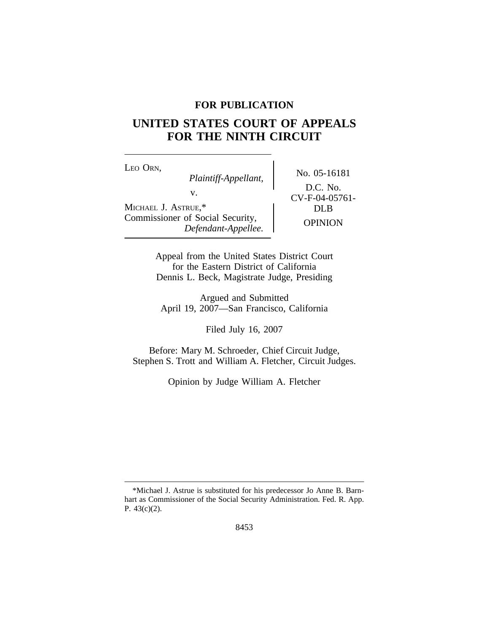# **FOR PUBLICATION**

# **UNITED STATES COURT OF APPEALS FOR THE NINTH CIRCUIT**

<sup>L</sup>EO ORN, No. 05-16181 *Plaintiff-Appellant,* v.<br>
CV-F-04-05761-<br>
DLB MICHAEL J. ASTRUE,\* Commissioner of Social Security, OPINION *Defendant-Appellee.*

D.C. No.

Appeal from the United States District Court for the Eastern District of California Dennis L. Beck, Magistrate Judge, Presiding

Argued and Submitted April 19, 2007—San Francisco, California

Filed July 16, 2007

Before: Mary M. Schroeder, Chief Circuit Judge, Stephen S. Trott and William A. Fletcher, Circuit Judges.

Opinion by Judge William A. Fletcher

<sup>\*</sup>Michael J. Astrue is substituted for his predecessor Jo Anne B. Barnhart as Commissioner of the Social Security Administration. Fed. R. App. P. 43(c)(2).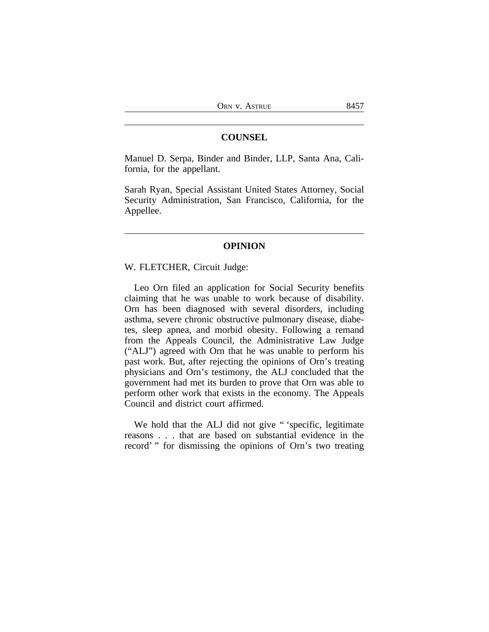## **COUNSEL**

Manuel D. Serpa, Binder and Binder, LLP, Santa Ana, California, for the appellant.

Sarah Ryan, Special Assistant United States Attorney, Social Security Administration, San Francisco, California, for the Appellee.

# **OPINION**

W. FLETCHER, Circuit Judge:

Leo Orn filed an application for Social Security benefits claiming that he was unable to work because of disability. Orn has been diagnosed with several disorders, including asthma, severe chronic obstructive pulmonary disease, diabetes, sleep apnea, and morbid obesity. Following a remand from the Appeals Council, the Administrative Law Judge ("ALJ") agreed with Orn that he was unable to perform his past work. But, after rejecting the opinions of Orn's treating physicians and Orn's testimony, the ALJ concluded that the government had met its burden to prove that Orn was able to perform other work that exists in the economy. The Appeals Council and district court affirmed.

We hold that the ALJ did not give "specific, legitimate reasons . . . that are based on substantial evidence in the record' " for dismissing the opinions of Orn's two treating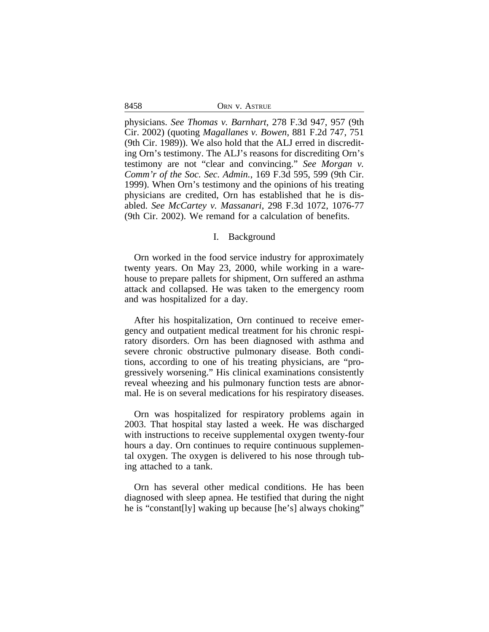8458 ORN V. ASTRUE

physicians. *See Thomas v. Barnhart*, 278 F.3d 947, 957 (9th Cir. 2002) (quoting *Magallanes v. Bowen*, 881 F.2d 747, 751 (9th Cir. 1989)). We also hold that the ALJ erred in discrediting Orn's testimony. The ALJ's reasons for discrediting Orn's testimony are not "clear and convincing." *See Morgan v. Comm'r of the Soc. Sec. Admin.*, 169 F.3d 595, 599 (9th Cir. 1999). When Orn's testimony and the opinions of his treating physicians are credited, Orn has established that he is disabled. *See McCartey v. Massanari*, 298 F.3d 1072, 1076-77 (9th Cir. 2002). We remand for a calculation of benefits.

#### I. Background

Orn worked in the food service industry for approximately twenty years. On May 23, 2000, while working in a warehouse to prepare pallets for shipment, Orn suffered an asthma attack and collapsed. He was taken to the emergency room and was hospitalized for a day.

After his hospitalization, Orn continued to receive emergency and outpatient medical treatment for his chronic respiratory disorders. Orn has been diagnosed with asthma and severe chronic obstructive pulmonary disease. Both conditions, according to one of his treating physicians, are "progressively worsening." His clinical examinations consistently reveal wheezing and his pulmonary function tests are abnormal. He is on several medications for his respiratory diseases.

Orn was hospitalized for respiratory problems again in 2003. That hospital stay lasted a week. He was discharged with instructions to receive supplemental oxygen twenty-four hours a day. Orn continues to require continuous supplemental oxygen. The oxygen is delivered to his nose through tubing attached to a tank.

Orn has several other medical conditions. He has been diagnosed with sleep apnea. He testified that during the night he is "constant[ly] waking up because [he's] always choking"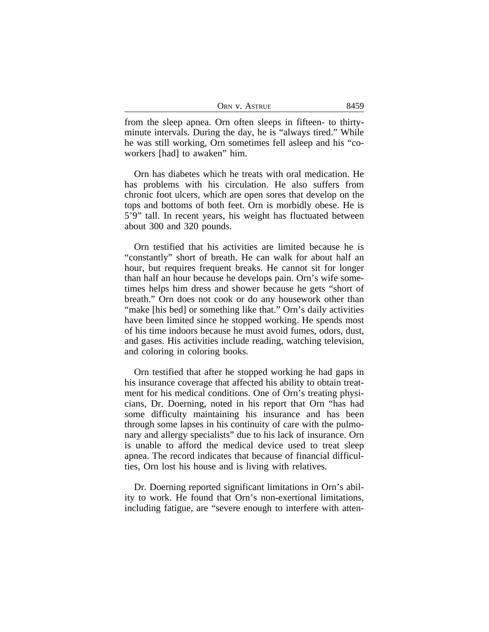| ORN V. ASTRUE | 8459 |
|---------------|------|
|---------------|------|

from the sleep apnea. Orn often sleeps in fifteen- to thirtyminute intervals. During the day, he is "always tired." While he was still working, Orn sometimes fell asleep and his "coworkers [had] to awaken" him.

Orn has diabetes which he treats with oral medication. He has problems with his circulation. He also suffers from chronic foot ulcers, which are open sores that develop on the tops and bottoms of both feet. Orn is morbidly obese. He is 5'9" tall. In recent years, his weight has fluctuated between about 300 and 320 pounds.

Orn testified that his activities are limited because he is "constantly" short of breath. He can walk for about half an hour, but requires frequent breaks. He cannot sit for longer than half an hour because he develops pain. Orn's wife sometimes helps him dress and shower because he gets "short of breath." Orn does not cook or do any housework other than "make [his bed] or something like that." Orn's daily activities have been limited since he stopped working. He spends most of his time indoors because he must avoid fumes, odors, dust, and gases. His activities include reading, watching television, and coloring in coloring books.

Orn testified that after he stopped working he had gaps in his insurance coverage that affected his ability to obtain treatment for his medical conditions. One of Orn's treating physicians, Dr. Doerning, noted in his report that Orn "has had some difficulty maintaining his insurance and has been through some lapses in his continuity of care with the pulmonary and allergy specialists" due to his lack of insurance. Orn is unable to afford the medical device used to treat sleep apnea. The record indicates that because of financial difficulties, Orn lost his house and is living with relatives.

Dr. Doerning reported significant limitations in Orn's ability to work. He found that Orn's non-exertional limitations, including fatigue, are "severe enough to interfere with atten-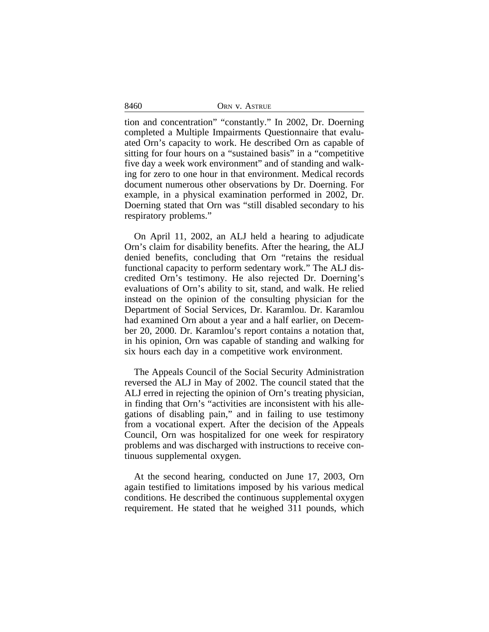| ORN V. ASTRUE |
|---------------|
|               |

tion and concentration" "constantly." In 2002, Dr. Doerning completed a Multiple Impairments Questionnaire that evaluated Orn's capacity to work. He described Orn as capable of sitting for four hours on a "sustained basis" in a "competitive five day a week work environment" and of standing and walking for zero to one hour in that environment. Medical records document numerous other observations by Dr. Doerning. For example, in a physical examination performed in 2002, Dr. Doerning stated that Orn was "still disabled secondary to his respiratory problems."

On April 11, 2002, an ALJ held a hearing to adjudicate Orn's claim for disability benefits. After the hearing, the ALJ denied benefits, concluding that Orn "retains the residual functional capacity to perform sedentary work." The ALJ discredited Orn's testimony. He also rejected Dr. Doerning's evaluations of Orn's ability to sit, stand, and walk. He relied instead on the opinion of the consulting physician for the Department of Social Services, Dr. Karamlou. Dr. Karamlou had examined Orn about a year and a half earlier, on December 20, 2000. Dr. Karamlou's report contains a notation that, in his opinion, Orn was capable of standing and walking for six hours each day in a competitive work environment.

The Appeals Council of the Social Security Administration reversed the ALJ in May of 2002. The council stated that the ALJ erred in rejecting the opinion of Orn's treating physician, in finding that Orn's "activities are inconsistent with his allegations of disabling pain," and in failing to use testimony from a vocational expert. After the decision of the Appeals Council, Orn was hospitalized for one week for respiratory problems and was discharged with instructions to receive continuous supplemental oxygen.

At the second hearing, conducted on June 17, 2003, Orn again testified to limitations imposed by his various medical conditions. He described the continuous supplemental oxygen requirement. He stated that he weighed 311 pounds, which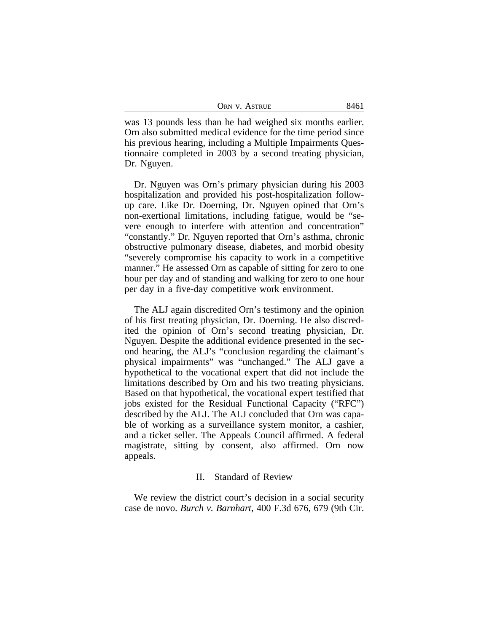| Orn v. Astrue |
|---------------|
|---------------|

was 13 pounds less than he had weighed six months earlier. Orn also submitted medical evidence for the time period since his previous hearing, including a Multiple Impairments Questionnaire completed in 2003 by a second treating physician, Dr. Nguyen.

Dr. Nguyen was Orn's primary physician during his 2003 hospitalization and provided his post-hospitalization followup care. Like Dr. Doerning, Dr. Nguyen opined that Orn's non-exertional limitations, including fatigue, would be "severe enough to interfere with attention and concentration" "constantly." Dr. Nguyen reported that Orn's asthma, chronic obstructive pulmonary disease, diabetes, and morbid obesity "severely compromise his capacity to work in a competitive manner." He assessed Orn as capable of sitting for zero to one hour per day and of standing and walking for zero to one hour per day in a five-day competitive work environment.

The ALJ again discredited Orn's testimony and the opinion of his first treating physician, Dr. Doerning. He also discredited the opinion of Orn's second treating physician, Dr. Nguyen. Despite the additional evidence presented in the second hearing, the ALJ's "conclusion regarding the claimant's physical impairments" was "unchanged." The ALJ gave a hypothetical to the vocational expert that did not include the limitations described by Orn and his two treating physicians. Based on that hypothetical, the vocational expert testified that jobs existed for the Residual Functional Capacity ("RFC") described by the ALJ. The ALJ concluded that Orn was capable of working as a surveillance system monitor, a cashier, and a ticket seller. The Appeals Council affirmed. A federal magistrate, sitting by consent, also affirmed. Orn now appeals.

#### II. Standard of Review

We review the district court's decision in a social security case de novo. *Burch v. Barnhart*, 400 F.3d 676, 679 (9th Cir.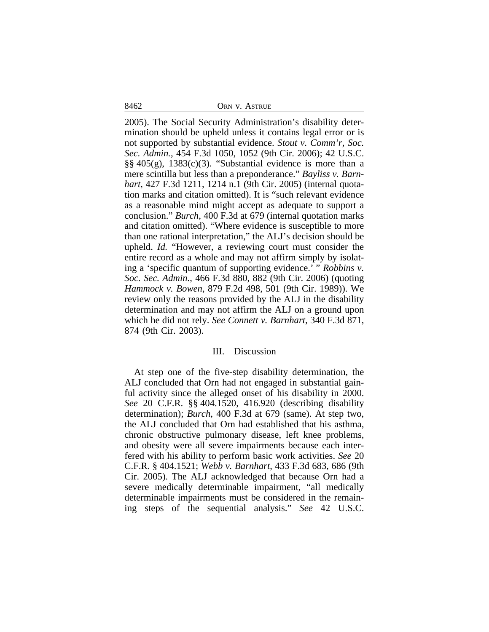8462 ORN V. ASTRUE

2005). The Social Security Administration's disability determination should be upheld unless it contains legal error or is not supported by substantial evidence. *Stout v. Comm'r, Soc. Sec. Admin.*, 454 F.3d 1050, 1052 (9th Cir. 2006); 42 U.S.C.  $\S$ §405(g), 1383(c)(3). "Substantial evidence is more than a mere scintilla but less than a preponderance." *Bayliss v. Barnhart*, 427 F.3d 1211, 1214 n.1 (9th Cir. 2005) (internal quotation marks and citation omitted). It is "such relevant evidence as a reasonable mind might accept as adequate to support a conclusion." *Burch*, 400 F.3d at 679 (internal quotation marks and citation omitted). "Where evidence is susceptible to more than one rational interpretation," the ALJ's decision should be upheld. *Id.* "However, a reviewing court must consider the entire record as a whole and may not affirm simply by isolating a 'specific quantum of supporting evidence.' " *Robbins v. Soc. Sec. Admin.*, 466 F.3d 880, 882 (9th Cir. 2006) (quoting *Hammock v. Bowen*, 879 F.2d 498, 501 (9th Cir. 1989)). We review only the reasons provided by the ALJ in the disability determination and may not affirm the ALJ on a ground upon which he did not rely. *See Connett v. Barnhart*, 340 F.3d 871, 874 (9th Cir. 2003).

#### III. Discussion

At step one of the five-step disability determination, the ALJ concluded that Orn had not engaged in substantial gainful activity since the alleged onset of his disability in 2000. *See* 20 C.F.R. §§ 404.1520, 416.920 (describing disability determination); *Burch*, 400 F.3d at 679 (same). At step two, the ALJ concluded that Orn had established that his asthma, chronic obstructive pulmonary disease, left knee problems, and obesity were all severe impairments because each interfered with his ability to perform basic work activities. *See* 20 C.F.R. § 404.1521; *Webb v. Barnhart*, 433 F.3d 683, 686 (9th Cir. 2005). The ALJ acknowledged that because Orn had a severe medically determinable impairment, "all medically determinable impairments must be considered in the remaining steps of the sequential analysis." *See* 42 U.S.C.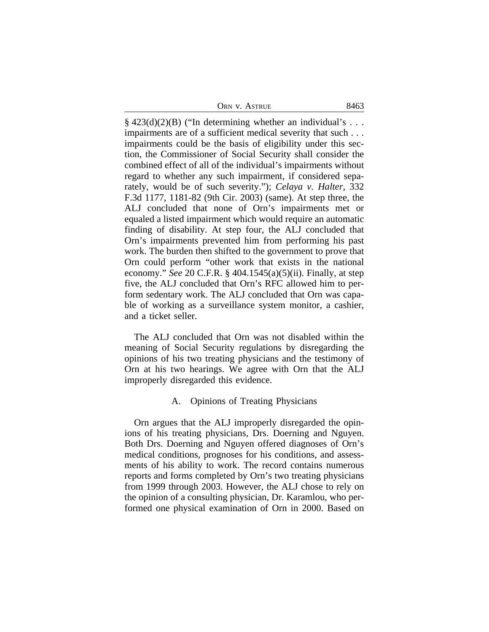|  |  | ORN V. ASTRUE | 8463 |
|--|--|---------------|------|
|--|--|---------------|------|

 $\S$  423(d)(2)(B) ("In determining whether an individual's ... impairments are of a sufficient medical severity that such . . . impairments could be the basis of eligibility under this section, the Commissioner of Social Security shall consider the combined effect of all of the individual's impairments without regard to whether any such impairment, if considered separately, would be of such severity."); *Celaya v. Halter*, 332 F.3d 1177, 1181-82 (9th Cir. 2003) (same). At step three, the ALJ concluded that none of Orn's impairments met or equaled a listed impairment which would require an automatic finding of disability. At step four, the ALJ concluded that Orn's impairments prevented him from performing his past work. The burden then shifted to the government to prove that Orn could perform "other work that exists in the national economy." *See* 20 C.F.R. § 404.1545(a)(5)(ii). Finally, at step five, the ALJ concluded that Orn's RFC allowed him to perform sedentary work. The ALJ concluded that Orn was capable of working as a surveillance system monitor, a cashier, and a ticket seller.

The ALJ concluded that Orn was not disabled within the meaning of Social Security regulations by disregarding the opinions of his two treating physicians and the testimony of Orn at his two hearings. We agree with Orn that the ALJ improperly disregarded this evidence.

## A. Opinions of Treating Physicians

Orn argues that the ALJ improperly disregarded the opinions of his treating physicians, Drs. Doerning and Nguyen. Both Drs. Doerning and Nguyen offered diagnoses of Orn's medical conditions, prognoses for his conditions, and assessments of his ability to work. The record contains numerous reports and forms completed by Orn's two treating physicians from 1999 through 2003. However, the ALJ chose to rely on the opinion of a consulting physician, Dr. Karamlou, who performed one physical examination of Orn in 2000. Based on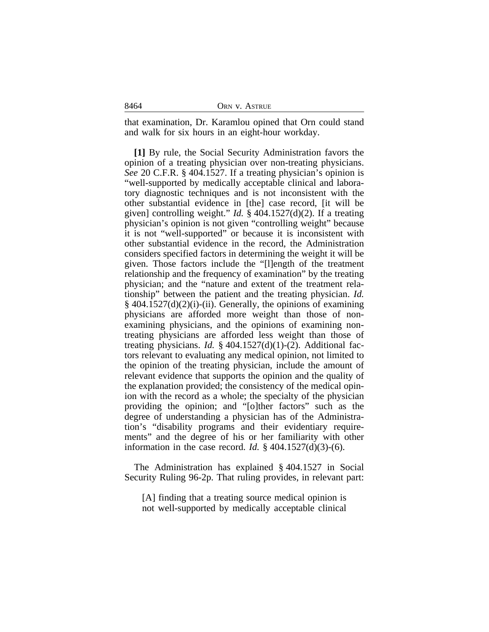| ORN V. ASTRUE |
|---------------|
|               |

that examination, Dr. Karamlou opined that Orn could stand and walk for six hours in an eight-hour workday.

**[1]** By rule, the Social Security Administration favors the opinion of a treating physician over non-treating physicians. *See* 20 C.F.R. § 404.1527. If a treating physician's opinion is "well-supported by medically acceptable clinical and laboratory diagnostic techniques and is not inconsistent with the other substantial evidence in [the] case record, [it will be given] controlling weight." *Id.* § 404.1527(d)(2). If a treating physician's opinion is not given "controlling weight" because it is not "well-supported" or because it is inconsistent with other substantial evidence in the record, the Administration considers specified factors in determining the weight it will be given. Those factors include the "[l]ength of the treatment relationship and the frequency of examination" by the treating physician; and the "nature and extent of the treatment relationship" between the patient and the treating physician. *Id.*  $§$  404.1527(d)(2)(i)-(ii). Generally, the opinions of examining physicians are afforded more weight than those of nonexamining physicians, and the opinions of examining nontreating physicians are afforded less weight than those of treating physicians. *Id.* § 404.1527(d)(1)-(2). Additional factors relevant to evaluating any medical opinion, not limited to the opinion of the treating physician, include the amount of relevant evidence that supports the opinion and the quality of the explanation provided; the consistency of the medical opinion with the record as a whole; the specialty of the physician providing the opinion; and "[o]ther factors" such as the degree of understanding a physician has of the Administration's "disability programs and their evidentiary requirements" and the degree of his or her familiarity with other information in the case record. *Id.* § 404.1527(d)(3)-(6).

The Administration has explained § 404.1527 in Social Security Ruling 96-2p. That ruling provides, in relevant part:

[A] finding that a treating source medical opinion is not well-supported by medically acceptable clinical

|--|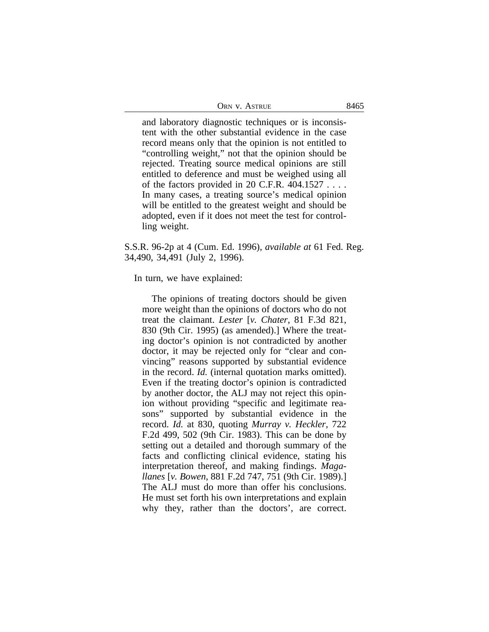| ORN V. ASTRUE | 8465 |
|---------------|------|
|---------------|------|

and laboratory diagnostic techniques or is inconsistent with the other substantial evidence in the case record means only that the opinion is not entitled to "controlling weight," not that the opinion should be rejected. Treating source medical opinions are still entitled to deference and must be weighed using all of the factors provided in 20 C.F.R. 404.1527 . . . . In many cases, a treating source's medical opinion will be entitled to the greatest weight and should be adopted, even if it does not meet the test for controlling weight.

S.S.R. 96-2p at 4 (Cum. Ed. 1996), *available at* 61 Fed. Reg. 34,490, 34,491 (July 2, 1996).

In turn, we have explained:

The opinions of treating doctors should be given more weight than the opinions of doctors who do not treat the claimant. *Lester* [*v. Chater*, 81 F.3d 821, 830 (9th Cir. 1995) (as amended).] Where the treating doctor's opinion is not contradicted by another doctor, it may be rejected only for "clear and convincing" reasons supported by substantial evidence in the record. *Id.* (internal quotation marks omitted). Even if the treating doctor's opinion is contradicted by another doctor, the ALJ may not reject this opinion without providing "specific and legitimate reasons" supported by substantial evidence in the record. *Id.* at 830, quoting *Murray v. Heckler*, 722 F.2d 499, 502 (9th Cir. 1983). This can be done by setting out a detailed and thorough summary of the facts and conflicting clinical evidence, stating his interpretation thereof, and making findings. *Magallanes* [*v. Bowen*, 881 F.2d 747, 751 (9th Cir. 1989).] The ALJ must do more than offer his conclusions. He must set forth his own interpretations and explain why they, rather than the doctors', are correct.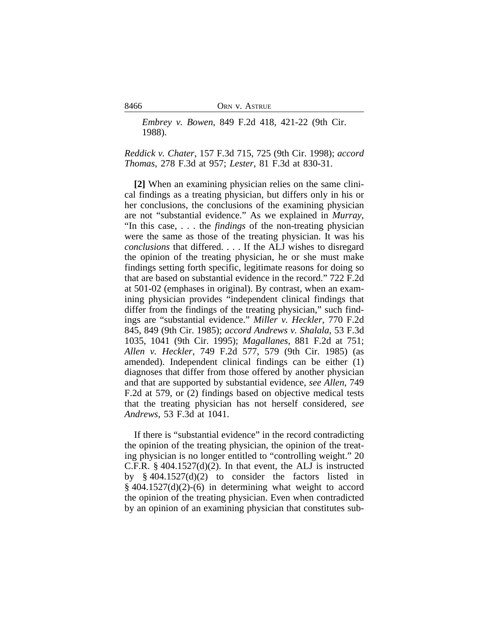8466 ORN V. ASTRUE

*Embrey v. Bowen*, 849 F.2d 418, 421-22 (9th Cir. 1988).

*Reddick v. Chater*, 157 F.3d 715, 725 (9th Cir. 1998); *accord Thomas*, 278 F.3d at 957; *Lester*, 81 F.3d at 830-31.

**[2]** When an examining physician relies on the same clinical findings as a treating physician, but differs only in his or her conclusions, the conclusions of the examining physician are not "substantial evidence." As we explained in *Murray*, "In this case, . . . the *findings* of the non-treating physician were the same as those of the treating physician. It was his *conclusions* that differed. . . . If the ALJ wishes to disregard the opinion of the treating physician, he or she must make findings setting forth specific, legitimate reasons for doing so that are based on substantial evidence in the record." 722 F.2d at 501-02 (emphases in original). By contrast, when an examining physician provides "independent clinical findings that differ from the findings of the treating physician," such findings are "substantial evidence." *Miller v. Heckler*, 770 F.2d 845, 849 (9th Cir. 1985); *accord Andrews v. Shalala*, 53 F.3d 1035, 1041 (9th Cir. 1995); *Magallanes*, 881 F.2d at 751; *Allen v. Heckler*, 749 F.2d 577, 579 (9th Cir. 1985) (as amended). Independent clinical findings can be either (1) diagnoses that differ from those offered by another physician and that are supported by substantial evidence, *see Allen*, 749 F.2d at 579, or (2) findings based on objective medical tests that the treating physician has not herself considered, *see Andrews*, 53 F.3d at 1041.

If there is "substantial evidence" in the record contradicting the opinion of the treating physician, the opinion of the treating physician is no longer entitled to "controlling weight." 20 C.F.R.  $\S$  404.1527(d)(2). In that event, the ALJ is instructed by § 404.1527(d)(2) to consider the factors listed in  $§$  404.1527(d)(2)-(6) in determining what weight to accord the opinion of the treating physician. Even when contradicted by an opinion of an examining physician that constitutes sub-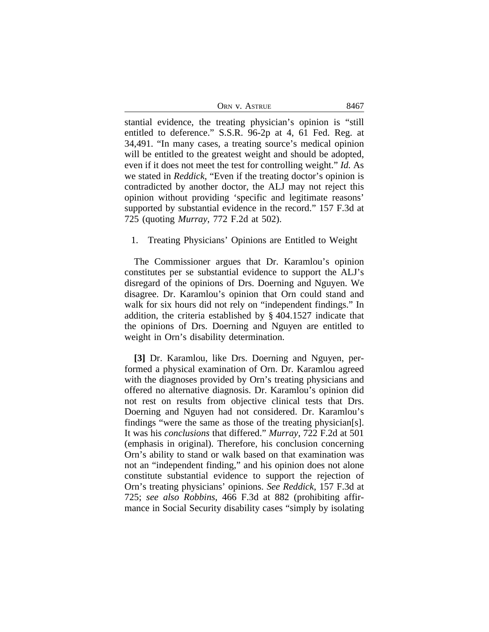| Orn v. Astrue | 8467 |
|---------------|------|
|---------------|------|

stantial evidence, the treating physician's opinion is "still entitled to deference." S.S.R. 96-2p at 4, 61 Fed. Reg. at 34,491. "In many cases, a treating source's medical opinion will be entitled to the greatest weight and should be adopted, even if it does not meet the test for controlling weight." *Id.* As we stated in *Reddick*, "Even if the treating doctor's opinion is contradicted by another doctor, the ALJ may not reject this opinion without providing 'specific and legitimate reasons' supported by substantial evidence in the record." 157 F.3d at 725 (quoting *Murray*, 772 F.2d at 502).

## 1. Treating Physicians' Opinions are Entitled to Weight

The Commissioner argues that Dr. Karamlou's opinion constitutes per se substantial evidence to support the ALJ's disregard of the opinions of Drs. Doerning and Nguyen. We disagree. Dr. Karamlou's opinion that Orn could stand and walk for six hours did not rely on "independent findings." In addition, the criteria established by § 404.1527 indicate that the opinions of Drs. Doerning and Nguyen are entitled to weight in Orn's disability determination.

**[3]** Dr. Karamlou, like Drs. Doerning and Nguyen, performed a physical examination of Orn. Dr. Karamlou agreed with the diagnoses provided by Orn's treating physicians and offered no alternative diagnosis. Dr. Karamlou's opinion did not rest on results from objective clinical tests that Drs. Doerning and Nguyen had not considered. Dr. Karamlou's findings "were the same as those of the treating physician[s]. It was his *conclusions* that differed." *Murray*, 722 F.2d at 501 (emphasis in original). Therefore, his conclusion concerning Orn's ability to stand or walk based on that examination was not an "independent finding," and his opinion does not alone constitute substantial evidence to support the rejection of Orn's treating physicians' opinions. *See Reddick*, 157 F.3d at 725; *see also Robbins*, 466 F.3d at 882 (prohibiting affirmance in Social Security disability cases "simply by isolating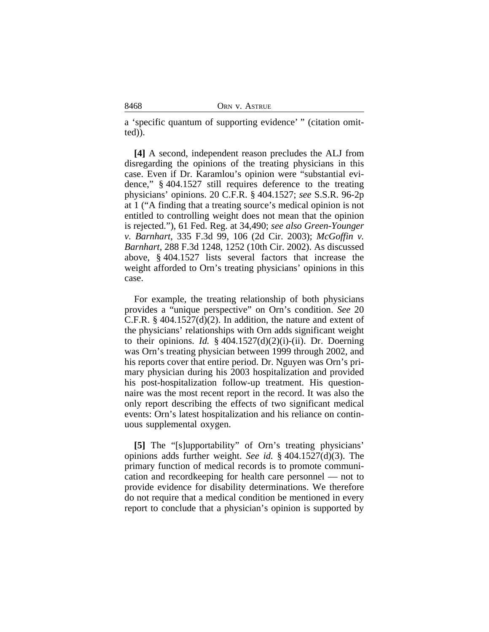a 'specific quantum of supporting evidence' " (citation omitted)).

**[4]** A second, independent reason precludes the ALJ from disregarding the opinions of the treating physicians in this case. Even if Dr. Karamlou's opinion were "substantial evidence," § 404.1527 still requires deference to the treating physicians' opinions. 20 C.F.R. § 404.1527; *see* S.S.R. 96-2p at 1 ("A finding that a treating source's medical opinion is not entitled to controlling weight does not mean that the opinion is rejected."), 61 Fed. Reg. at 34,490; *see also Green-Younger v. Barnhart*, 335 F.3d 99, 106 (2d Cir. 2003); *McGoffin v. Barnhart*, 288 F.3d 1248, 1252 (10th Cir. 2002). As discussed above, § 404.1527 lists several factors that increase the weight afforded to Orn's treating physicians' opinions in this case.

For example, the treating relationship of both physicians provides a "unique perspective" on Orn's condition. *See* 20 C.F.R. § 404.1527(d)(2). In addition, the nature and extent of the physicians' relationships with Orn adds significant weight to their opinions. *Id.*  $\frac{2}{3}$  404.1527(d)(2)(i)-(ii). Dr. Doerning was Orn's treating physician between 1999 through 2002, and his reports cover that entire period. Dr. Nguyen was Orn's primary physician during his 2003 hospitalization and provided his post-hospitalization follow-up treatment. His questionnaire was the most recent report in the record. It was also the only report describing the effects of two significant medical events: Orn's latest hospitalization and his reliance on continuous supplemental oxygen.

**[5]** The "[s]upportability" of Orn's treating physicians' opinions adds further weight. *See id.* § 404.1527(d)(3). The primary function of medical records is to promote communication and recordkeeping for health care personnel — not to provide evidence for disability determinations. We therefore do not require that a medical condition be mentioned in every report to conclude that a physician's opinion is supported by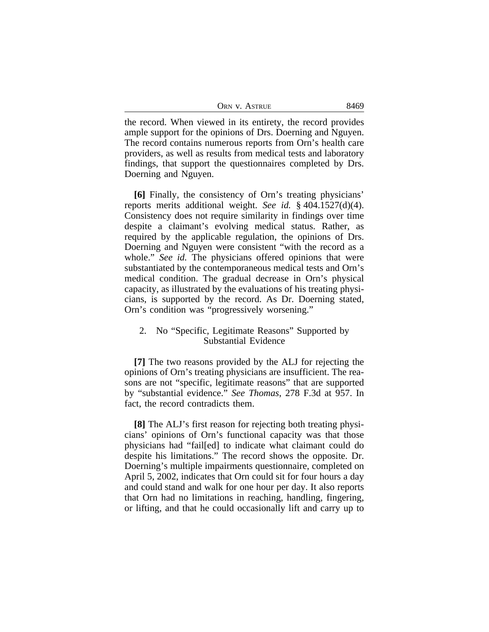| ORN V. ASTRUE | 8469 |
|---------------|------|
|---------------|------|

the record. When viewed in its entirety, the record provides ample support for the opinions of Drs. Doerning and Nguyen. The record contains numerous reports from Orn's health care providers, as well as results from medical tests and laboratory findings, that support the questionnaires completed by Drs. Doerning and Nguyen.

**[6]** Finally, the consistency of Orn's treating physicians' reports merits additional weight. *See id.* § 404.1527(d)(4). Consistency does not require similarity in findings over time despite a claimant's evolving medical status. Rather, as required by the applicable regulation, the opinions of Drs. Doerning and Nguyen were consistent "with the record as a whole." *See id.* The physicians offered opinions that were substantiated by the contemporaneous medical tests and Orn's medical condition. The gradual decrease in Orn's physical capacity, as illustrated by the evaluations of his treating physicians, is supported by the record. As Dr. Doerning stated, Orn's condition was "progressively worsening."

## 2. No "Specific, Legitimate Reasons" Supported by Substantial Evidence

**[7]** The two reasons provided by the ALJ for rejecting the opinions of Orn's treating physicians are insufficient. The reasons are not "specific, legitimate reasons" that are supported by "substantial evidence." *See Thomas*, 278 F.3d at 957. In fact, the record contradicts them.

**[8]** The ALJ's first reason for rejecting both treating physicians' opinions of Orn's functional capacity was that those physicians had "fail[ed] to indicate what claimant could do despite his limitations." The record shows the opposite. Dr. Doerning's multiple impairments questionnaire, completed on April 5, 2002, indicates that Orn could sit for four hours a day and could stand and walk for one hour per day. It also reports that Orn had no limitations in reaching, handling, fingering, or lifting, and that he could occasionally lift and carry up to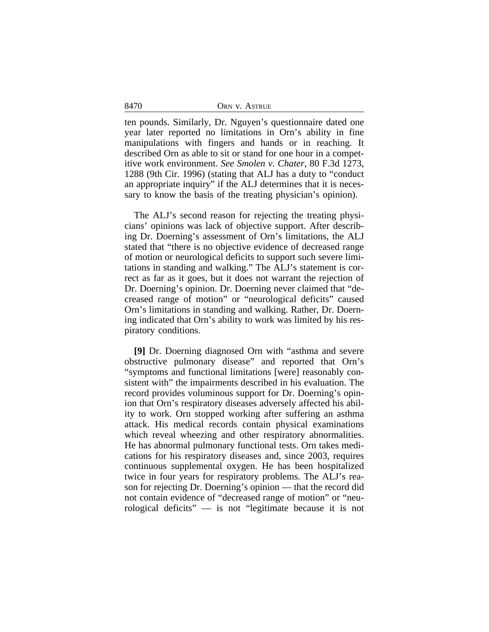| 8470 | ORN V. ASTRUE |  |
|------|---------------|--|
|      |               |  |

ten pounds. Similarly, Dr. Nguyen's questionnaire dated one year later reported no limitations in Orn's ability in fine manipulations with fingers and hands or in reaching. It described Orn as able to sit or stand for one hour in a competitive work environment. *See Smolen v. Chater*, 80 F.3d 1273, 1288 (9th Cir. 1996) (stating that ALJ has a duty to "conduct an appropriate inquiry" if the ALJ determines that it is necessary to know the basis of the treating physician's opinion).

The ALJ's second reason for rejecting the treating physicians' opinions was lack of objective support. After describing Dr. Doerning's assessment of Orn's limitations, the ALJ stated that "there is no objective evidence of decreased range of motion or neurological deficits to support such severe limitations in standing and walking." The ALJ's statement is correct as far as it goes, but it does not warrant the rejection of Dr. Doerning's opinion. Dr. Doerning never claimed that "decreased range of motion" or "neurological deficits" caused Orn's limitations in standing and walking. Rather, Dr. Doerning indicated that Orn's ability to work was limited by his respiratory conditions.

**[9]** Dr. Doerning diagnosed Orn with "asthma and severe obstructive pulmonary disease" and reported that Orn's "symptoms and functional limitations [were] reasonably consistent with" the impairments described in his evaluation. The record provides voluminous support for Dr. Doerning's opinion that Orn's respiratory diseases adversely affected his ability to work. Orn stopped working after suffering an asthma attack. His medical records contain physical examinations which reveal wheezing and other respiratory abnormalities. He has abnormal pulmonary functional tests. Orn takes medications for his respiratory diseases and, since 2003, requires continuous supplemental oxygen. He has been hospitalized twice in four years for respiratory problems. The ALJ's reason for rejecting Dr. Doerning's opinion — that the record did not contain evidence of "decreased range of motion" or "neurological deficits" — is not "legitimate because it is not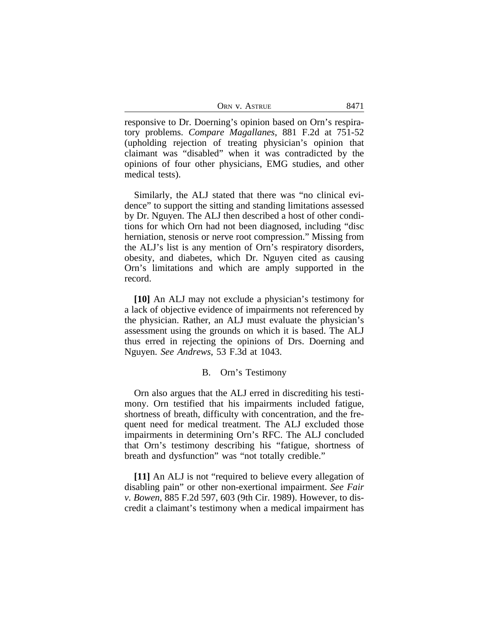| ORN V. ASTRUE | 8471 |
|---------------|------|
|---------------|------|

responsive to Dr. Doerning's opinion based on Orn's respiratory problems. *Compare Magallanes*, 881 F.2d at 751-52 (upholding rejection of treating physician's opinion that claimant was "disabled" when it was contradicted by the opinions of four other physicians, EMG studies, and other medical tests).

Similarly, the ALJ stated that there was "no clinical evidence" to support the sitting and standing limitations assessed by Dr. Nguyen. The ALJ then described a host of other conditions for which Orn had not been diagnosed, including "disc herniation, stenosis or nerve root compression." Missing from the ALJ's list is any mention of Orn's respiratory disorders, obesity, and diabetes, which Dr. Nguyen cited as causing Orn's limitations and which are amply supported in the record.

**[10]** An ALJ may not exclude a physician's testimony for a lack of objective evidence of impairments not referenced by the physician. Rather, an ALJ must evaluate the physician's assessment using the grounds on which it is based. The ALJ thus erred in rejecting the opinions of Drs. Doerning and Nguyen. *See Andrews*, 53 F.3d at 1043.

## B. Orn's Testimony

Orn also argues that the ALJ erred in discrediting his testimony. Orn testified that his impairments included fatigue, shortness of breath, difficulty with concentration, and the frequent need for medical treatment. The ALJ excluded those impairments in determining Orn's RFC. The ALJ concluded that Orn's testimony describing his "fatigue, shortness of breath and dysfunction" was "not totally credible."

**[11]** An ALJ is not "required to believe every allegation of disabling pain" or other non-exertional impairment. *See Fair v. Bowen*, 885 F.2d 597, 603 (9th Cir. 1989). However, to discredit a claimant's testimony when a medical impairment has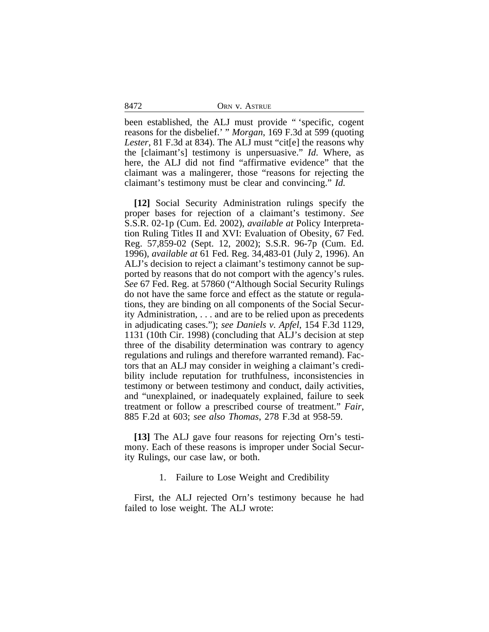|  | ORN V. ASTRUE |
|--|---------------|
|  |               |

been established, the ALJ must provide " 'specific, cogent reasons for the disbelief.' " *Morgan*, 169 F.3d at 599 (quoting *Lester*, 81 F.3d at 834). The ALJ must "cit[e] the reasons why the [claimant's] testimony is unpersuasive." *Id*. Where, as here, the ALJ did not find "affirmative evidence" that the claimant was a malingerer, those "reasons for rejecting the claimant's testimony must be clear and convincing." *Id.*

**[12]** Social Security Administration rulings specify the proper bases for rejection of a claimant's testimony. *See* S.S.R. 02-1p (Cum. Ed. 2002), *available at* Policy Interpretation Ruling Titles II and XVI: Evaluation of Obesity, 67 Fed. Reg. 57,859-02 (Sept. 12, 2002); S.S.R. 96-7p (Cum. Ed. 1996), *available at* 61 Fed. Reg. 34,483-01 (July 2, 1996). An ALJ's decision to reject a claimant's testimony cannot be supported by reasons that do not comport with the agency's rules. *See* 67 Fed. Reg. at 57860 ("Although Social Security Rulings do not have the same force and effect as the statute or regulations, they are binding on all components of the Social Security Administration, . . . and are to be relied upon as precedents in adjudicating cases."); *see Daniels v. Apfel*, 154 F.3d 1129, 1131 (10th Cir. 1998) (concluding that ALJ's decision at step three of the disability determination was contrary to agency regulations and rulings and therefore warranted remand). Factors that an ALJ may consider in weighing a claimant's credibility include reputation for truthfulness, inconsistencies in testimony or between testimony and conduct, daily activities, and "unexplained, or inadequately explained, failure to seek treatment or follow a prescribed course of treatment." *Fair*, 885 F.2d at 603; *see also Thomas*, 278 F.3d at 958-59.

**[13]** The ALJ gave four reasons for rejecting Orn's testimony. Each of these reasons is improper under Social Security Rulings, our case law, or both.

1. Failure to Lose Weight and Credibility

First, the ALJ rejected Orn's testimony because he had failed to lose weight. The ALJ wrote:

8472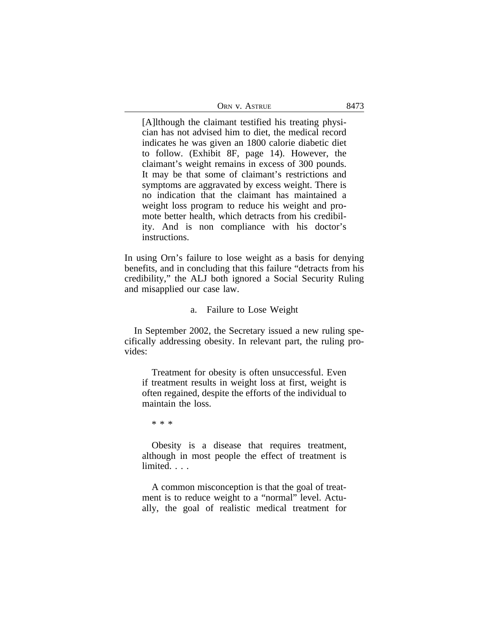| ORN V. ASTRUE | 8473 |
|---------------|------|
|---------------|------|

[A]lthough the claimant testified his treating physician has not advised him to diet, the medical record indicates he was given an 1800 calorie diabetic diet to follow. (Exhibit 8F, page 14). However, the claimant's weight remains in excess of 300 pounds. It may be that some of claimant's restrictions and symptoms are aggravated by excess weight. There is no indication that the claimant has maintained a weight loss program to reduce his weight and promote better health, which detracts from his credibility. And is non compliance with his doctor's instructions.

In using Orn's failure to lose weight as a basis for denying benefits, and in concluding that this failure "detracts from his credibility," the ALJ both ignored a Social Security Ruling and misapplied our case law.

#### a. Failure to Lose Weight

In September 2002, the Secretary issued a new ruling specifically addressing obesity. In relevant part, the ruling provides:

Treatment for obesity is often unsuccessful. Even if treatment results in weight loss at first, weight is often regained, despite the efforts of the individual to maintain the loss.

\* \* \*

Obesity is a disease that requires treatment, although in most people the effect of treatment is limited. . . .

A common misconception is that the goal of treatment is to reduce weight to a "normal" level. Actually, the goal of realistic medical treatment for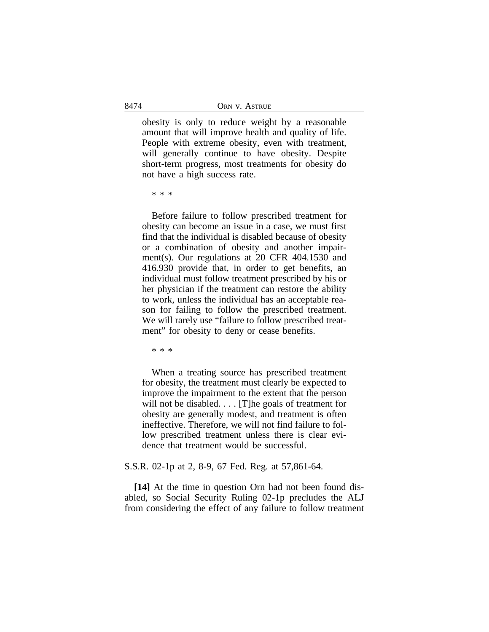obesity is only to reduce weight by a reasonable amount that will improve health and quality of life. People with extreme obesity, even with treatment, will generally continue to have obesity. Despite short-term progress, most treatments for obesity do not have a high success rate.

\* \* \*

Before failure to follow prescribed treatment for obesity can become an issue in a case, we must first find that the individual is disabled because of obesity or a combination of obesity and another impairment(s). Our regulations at 20 CFR 404.1530 and 416.930 provide that, in order to get benefits, an individual must follow treatment prescribed by his or her physician if the treatment can restore the ability to work, unless the individual has an acceptable reason for failing to follow the prescribed treatment. We will rarely use "failure to follow prescribed treatment" for obesity to deny or cease benefits.

\* \* \*

When a treating source has prescribed treatment for obesity, the treatment must clearly be expected to improve the impairment to the extent that the person will not be disabled. . . . [T]he goals of treatment for obesity are generally modest, and treatment is often ineffective. Therefore, we will not find failure to follow prescribed treatment unless there is clear evidence that treatment would be successful.

# S.S.R. 02-1p at 2, 8-9, 67 Fed. Reg. at 57,861-64.

**[14]** At the time in question Orn had not been found disabled, so Social Security Ruling 02-1p precludes the ALJ from considering the effect of any failure to follow treatment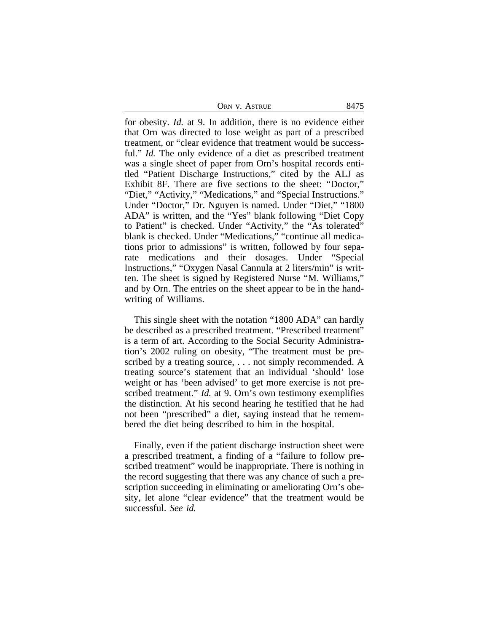| ORN V. ASTRUE | 8475 |
|---------------|------|
|---------------|------|

for obesity. *Id.* at 9. In addition, there is no evidence either that Orn was directed to lose weight as part of a prescribed treatment, or "clear evidence that treatment would be successful." *Id.* The only evidence of a diet as prescribed treatment was a single sheet of paper from Orn's hospital records entitled "Patient Discharge Instructions," cited by the ALJ as Exhibit 8F. There are five sections to the sheet: "Doctor," "Diet," "Activity," "Medications," and "Special Instructions." Under "Doctor," Dr. Nguyen is named. Under "Diet," "1800 ADA" is written, and the "Yes" blank following "Diet Copy to Patient" is checked. Under "Activity," the "As tolerated" blank is checked. Under "Medications," "continue all medications prior to admissions" is written, followed by four separate medications and their dosages. Under "Special Instructions," "Oxygen Nasal Cannula at 2 liters/min" is written. The sheet is signed by Registered Nurse "M. Williams," and by Orn. The entries on the sheet appear to be in the handwriting of Williams.

This single sheet with the notation "1800 ADA" can hardly be described as a prescribed treatment. "Prescribed treatment" is a term of art. According to the Social Security Administration's 2002 ruling on obesity, "The treatment must be prescribed by a treating source, . . . not simply recommended. A treating source's statement that an individual 'should' lose weight or has 'been advised' to get more exercise is not prescribed treatment." *Id.* at 9. Orn's own testimony exemplifies the distinction. At his second hearing he testified that he had not been "prescribed" a diet, saying instead that he remembered the diet being described to him in the hospital.

Finally, even if the patient discharge instruction sheet were a prescribed treatment, a finding of a "failure to follow prescribed treatment" would be inappropriate. There is nothing in the record suggesting that there was any chance of such a prescription succeeding in eliminating or ameliorating Orn's obesity, let alone "clear evidence" that the treatment would be successful. *See id.*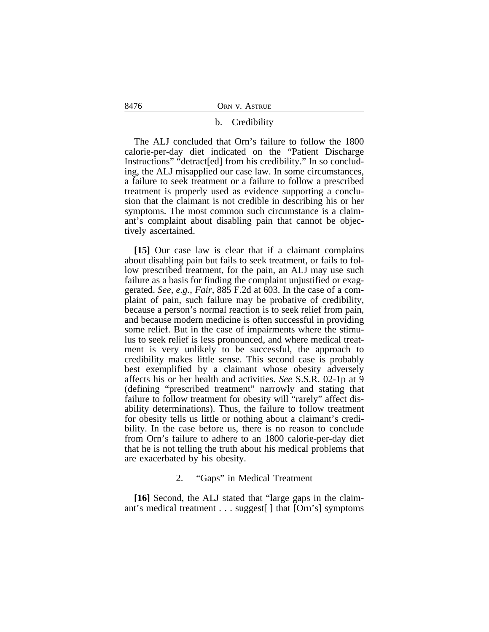#### b. Credibility

The ALJ concluded that Orn's failure to follow the 1800 calorie-per-day diet indicated on the "Patient Discharge Instructions" "detract[ed] from his credibility." In so concluding, the ALJ misapplied our case law. In some circumstances, a failure to seek treatment or a failure to follow a prescribed treatment is properly used as evidence supporting a conclusion that the claimant is not credible in describing his or her symptoms. The most common such circumstance is a claimant's complaint about disabling pain that cannot be objectively ascertained.

**[15]** Our case law is clear that if a claimant complains about disabling pain but fails to seek treatment, or fails to follow prescribed treatment, for the pain, an ALJ may use such failure as a basis for finding the complaint unjustified or exaggerated. *See, e.g.*, *Fair*, 885 F.2d at 603. In the case of a complaint of pain, such failure may be probative of credibility, because a person's normal reaction is to seek relief from pain, and because modern medicine is often successful in providing some relief. But in the case of impairments where the stimulus to seek relief is less pronounced, and where medical treatment is very unlikely to be successful, the approach to credibility makes little sense. This second case is probably best exemplified by a claimant whose obesity adversely affects his or her health and activities. *See* S.S.R. 02-1p at 9 (defining "prescribed treatment" narrowly and stating that failure to follow treatment for obesity will "rarely" affect disability determinations). Thus, the failure to follow treatment for obesity tells us little or nothing about a claimant's credibility. In the case before us, there is no reason to conclude from Orn's failure to adhere to an 1800 calorie-per-day diet that he is not telling the truth about his medical problems that are exacerbated by his obesity.

# 2. "Gaps" in Medical Treatment

**[16]** Second, the ALJ stated that "large gaps in the claimant's medical treatment . . . suggest[ ] that [Orn's] symptoms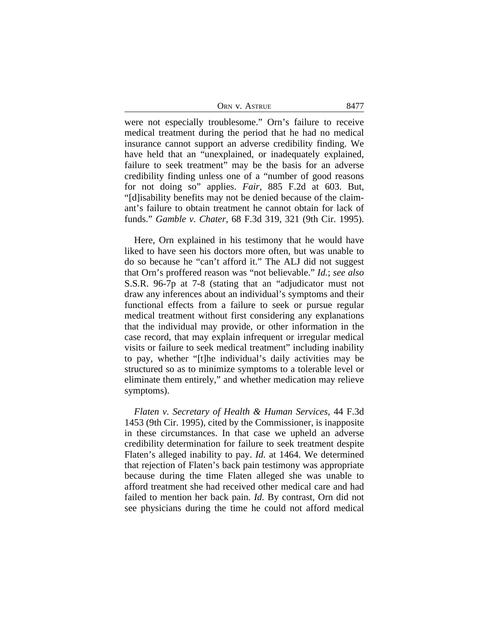| ORN V. ASTRUE | 8477 |
|---------------|------|
|---------------|------|

were not especially troublesome." Orn's failure to receive medical treatment during the period that he had no medical insurance cannot support an adverse credibility finding. We have held that an "unexplained, or inadequately explained, failure to seek treatment" may be the basis for an adverse credibility finding unless one of a "number of good reasons for not doing so" applies. *Fair*, 885 F.2d at 603. But, "[d]isability benefits may not be denied because of the claimant's failure to obtain treatment he cannot obtain for lack of funds." *Gamble v. Chater*, 68 F.3d 319, 321 (9th Cir. 1995).

Here, Orn explained in his testimony that he would have liked to have seen his doctors more often, but was unable to do so because he "can't afford it." The ALJ did not suggest that Orn's proffered reason was "not believable." *Id.*; *see also* S.S.R. 96-7p at 7-8 (stating that an "adjudicator must not draw any inferences about an individual's symptoms and their functional effects from a failure to seek or pursue regular medical treatment without first considering any explanations that the individual may provide, or other information in the case record, that may explain infrequent or irregular medical visits or failure to seek medical treatment" including inability to pay, whether "[t]he individual's daily activities may be structured so as to minimize symptoms to a tolerable level or eliminate them entirely," and whether medication may relieve symptoms).

*Flaten v. Secretary of Health & Human Services*, 44 F.3d 1453 (9th Cir. 1995), cited by the Commissioner, is inapposite in these circumstances. In that case we upheld an adverse credibility determination for failure to seek treatment despite Flaten's alleged inability to pay. *Id.* at 1464. We determined that rejection of Flaten's back pain testimony was appropriate because during the time Flaten alleged she was unable to afford treatment she had received other medical care and had failed to mention her back pain. *Id.* By contrast, Orn did not see physicians during the time he could not afford medical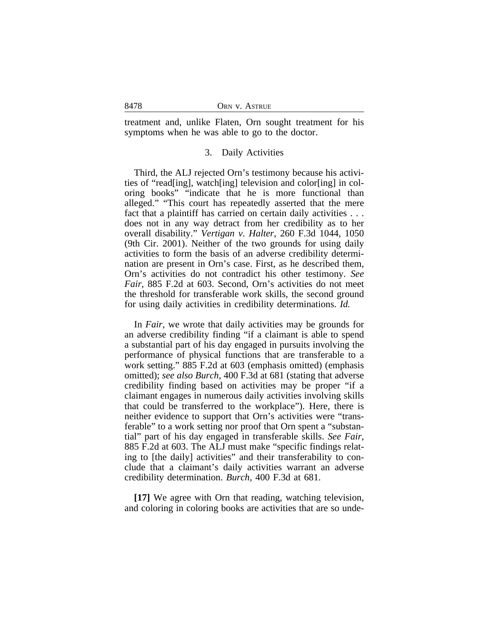treatment and, unlike Flaten, Orn sought treatment for his symptoms when he was able to go to the doctor.

#### 3. Daily Activities

Third, the ALJ rejected Orn's testimony because his activities of "read[ing], watch[ing] television and color[ing] in coloring books" "indicate that he is more functional than alleged." "This court has repeatedly asserted that the mere fact that a plaintiff has carried on certain daily activities . . . does not in any way detract from her credibility as to her overall disability." *Vertigan v. Halter*, 260 F.3d 1044, 1050 (9th Cir. 2001). Neither of the two grounds for using daily activities to form the basis of an adverse credibility determination are present in Orn's case. First, as he described them, Orn's activities do not contradict his other testimony. *See Fair*, 885 F.2d at 603. Second, Orn's activities do not meet the threshold for transferable work skills, the second ground for using daily activities in credibility determinations. *Id.*

In *Fair*, we wrote that daily activities may be grounds for an adverse credibility finding "if a claimant is able to spend a substantial part of his day engaged in pursuits involving the performance of physical functions that are transferable to a work setting." 885 F.2d at 603 (emphasis omitted) (emphasis omitted); *see also Burch*, 400 F.3d at 681 (stating that adverse credibility finding based on activities may be proper "if a claimant engages in numerous daily activities involving skills that could be transferred to the workplace"). Here, there is neither evidence to support that Orn's activities were "transferable" to a work setting nor proof that Orn spent a "substantial" part of his day engaged in transferable skills. *See Fair*, 885 F.2d at 603. The ALJ must make "specific findings relating to [the daily] activities" and their transferability to conclude that a claimant's daily activities warrant an adverse credibility determination. *Burch*, 400 F.3d at 681.

**[17]** We agree with Orn that reading, watching television, and coloring in coloring books are activities that are so unde-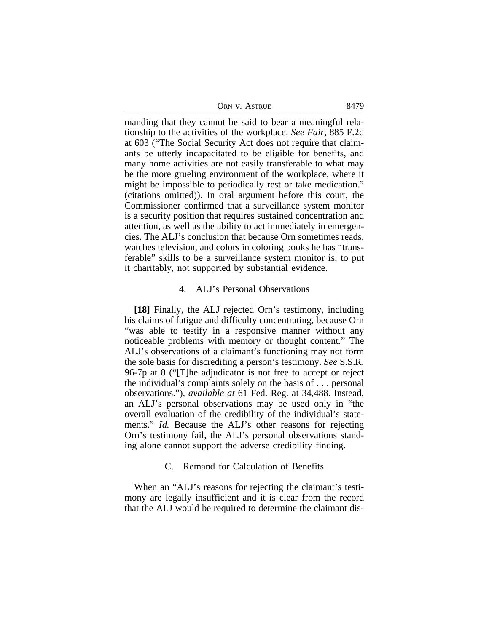| ORN V. ASTRUE | 8479 |
|---------------|------|
|---------------|------|

manding that they cannot be said to bear a meaningful relationship to the activities of the workplace. *See Fair*, 885 F.2d at 603 ("The Social Security Act does not require that claimants be utterly incapacitated to be eligible for benefits, and many home activities are not easily transferable to what may be the more grueling environment of the workplace, where it might be impossible to periodically rest or take medication." (citations omitted)). In oral argument before this court, the Commissioner confirmed that a surveillance system monitor is a security position that requires sustained concentration and attention, as well as the ability to act immediately in emergencies. The ALJ's conclusion that because Orn sometimes reads, watches television, and colors in coloring books he has "transferable" skills to be a surveillance system monitor is, to put it charitably, not supported by substantial evidence.

## 4. ALJ's Personal Observations

**[18]** Finally, the ALJ rejected Orn's testimony, including his claims of fatigue and difficulty concentrating, because Orn "was able to testify in a responsive manner without any noticeable problems with memory or thought content." The ALJ's observations of a claimant's functioning may not form the sole basis for discrediting a person's testimony. *See* S.S.R. 96-7p at 8 ("[T]he adjudicator is not free to accept or reject the individual's complaints solely on the basis of . . . personal observations."), *available at* 61 Fed. Reg. at 34,488. Instead, an ALJ's personal observations may be used only in "the overall evaluation of the credibility of the individual's statements." *Id.* Because the ALJ's other reasons for rejecting Orn's testimony fail, the ALJ's personal observations standing alone cannot support the adverse credibility finding.

## C. Remand for Calculation of Benefits

When an "ALJ's reasons for rejecting the claimant's testimony are legally insufficient and it is clear from the record that the ALJ would be required to determine the claimant dis-